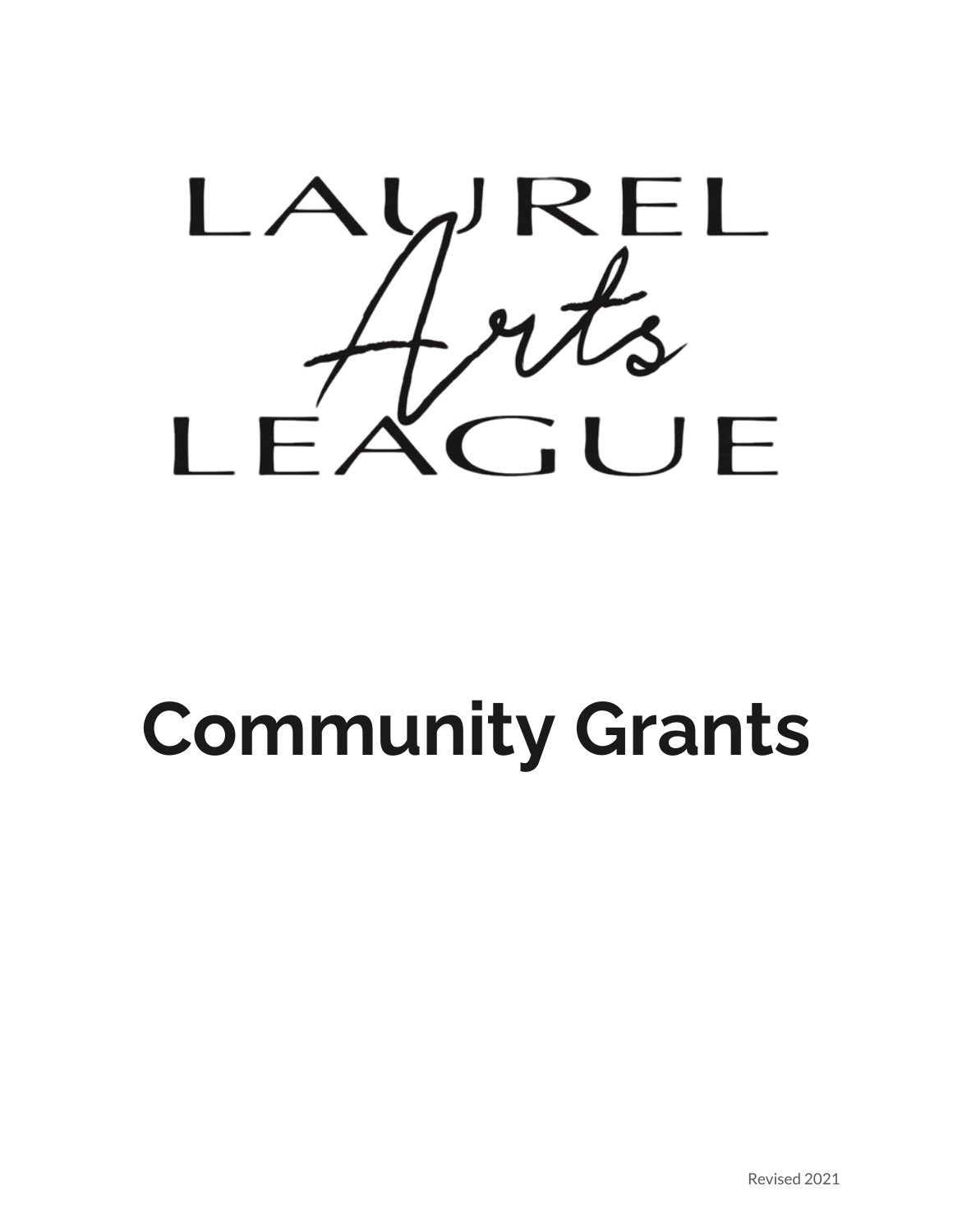

# **Community Grants**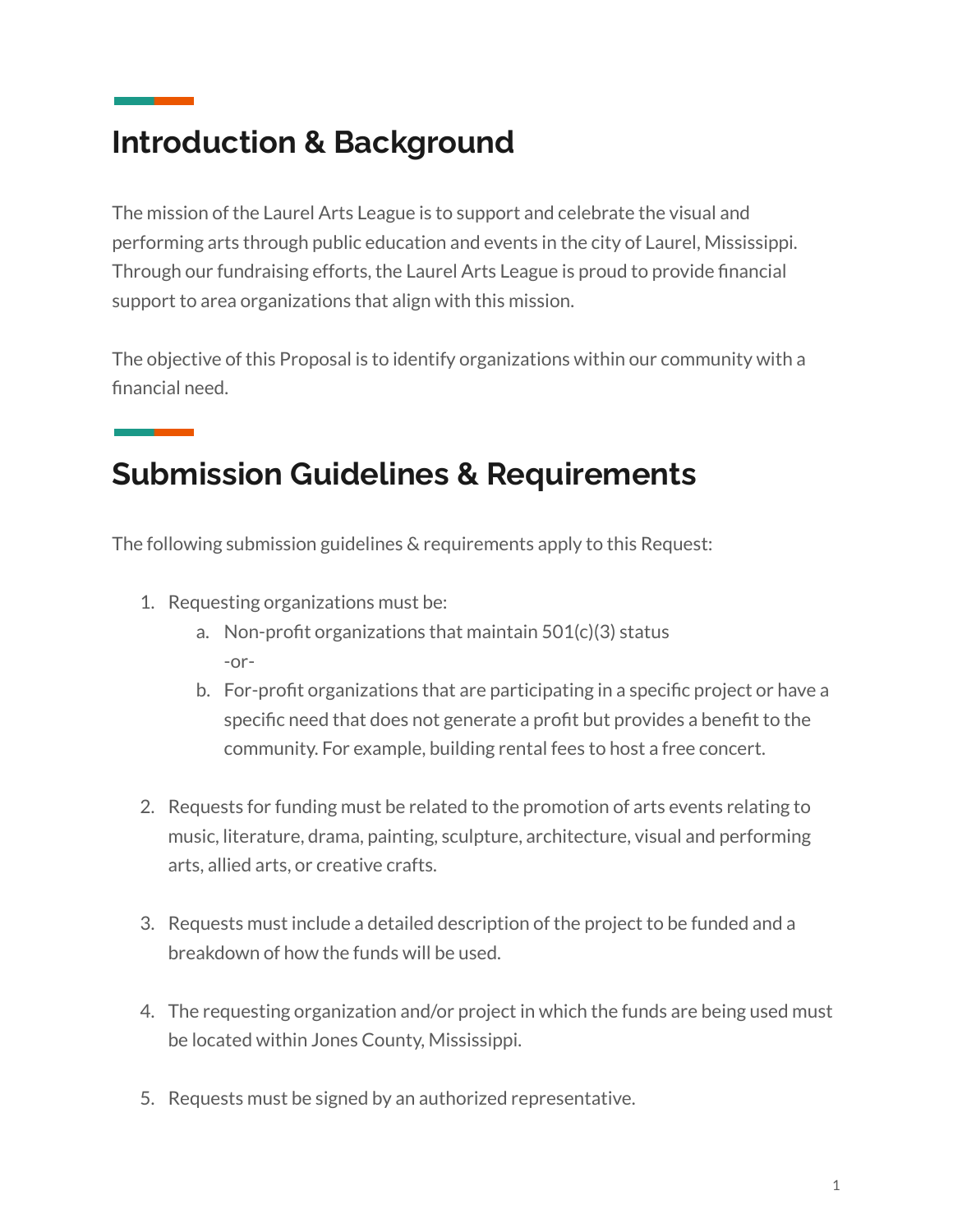### **Introduction & Background**

The mission of the Laurel Arts League is to support and celebrate the visual and performing arts through public education and events in the city of Laurel, Mississippi. Through our fundraising efforts, the Laurel Arts League is proud to provide financial support to area organizations that align with this mission.

The objective of this Proposal is to identify organizations within our community with a financial need.

### **Submission Guidelines & Requirements**

The following submission guidelines & requirements apply to this Request:

- 1. Requesting organizations must be:
	- a. Non-profit organizations that maintain 501(c)(3) status -or-
	- b. For-profit organizations that are participating in a specific project or have a specific need that does not generate a profit but provides a benefit to the community. For example, building rental fees to host a free concert.
- 2. Requests for funding must be related to the promotion of arts events relating to music, literature, drama, painting, sculpture, architecture, visual and performing arts, allied arts, or creative crafts.
- 3. Requests must include a detailed description of the project to be funded and a breakdown of how the funds will be used.
- 4. The requesting organization and/or project in which the funds are being used must be located within Jones County, Mississippi.
- 5. Requests must be signed by an authorized representative.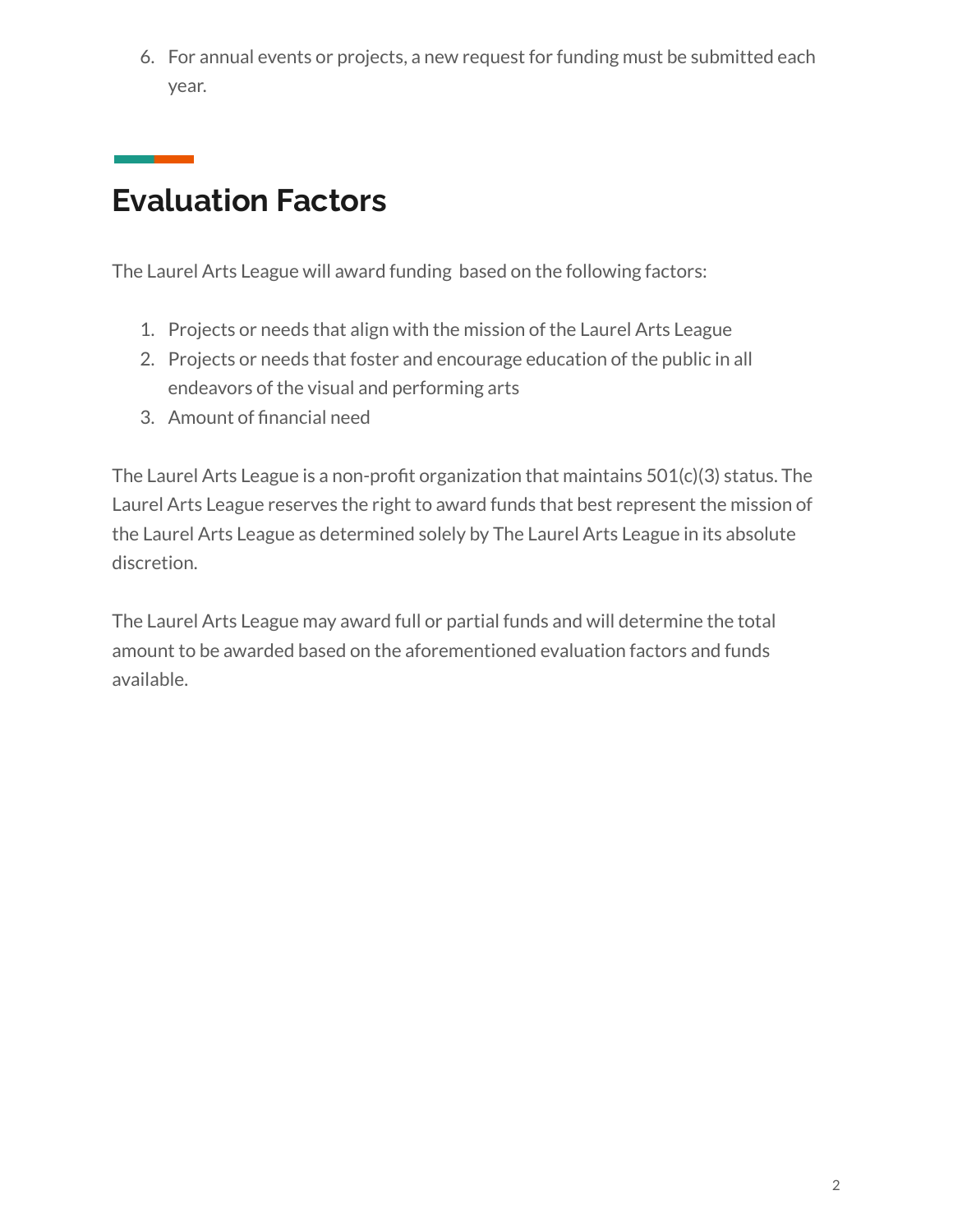6. For annual events or projects, a new request for funding must be submitted each year.

## **Evaluation Factors**

The Laurel Arts League will award funding based on the following factors:

- 1. Projects or needs that align with the mission of the Laurel Arts League
- 2. Projects or needs that foster and encourage education of the public in all endeavors of the visual and performing arts
- 3. Amount of financial need

The Laurel Arts League is a non-profit organization that maintains 501(c)(3) status. The Laurel Arts League reserves the right to award funds that best represent the mission of the Laurel Arts League as determined solely by The Laurel Arts League in its absolute discretion.

The Laurel Arts League may award full or partial funds and will determine the total amount to be awarded based on the aforementioned evaluation factors and funds available.